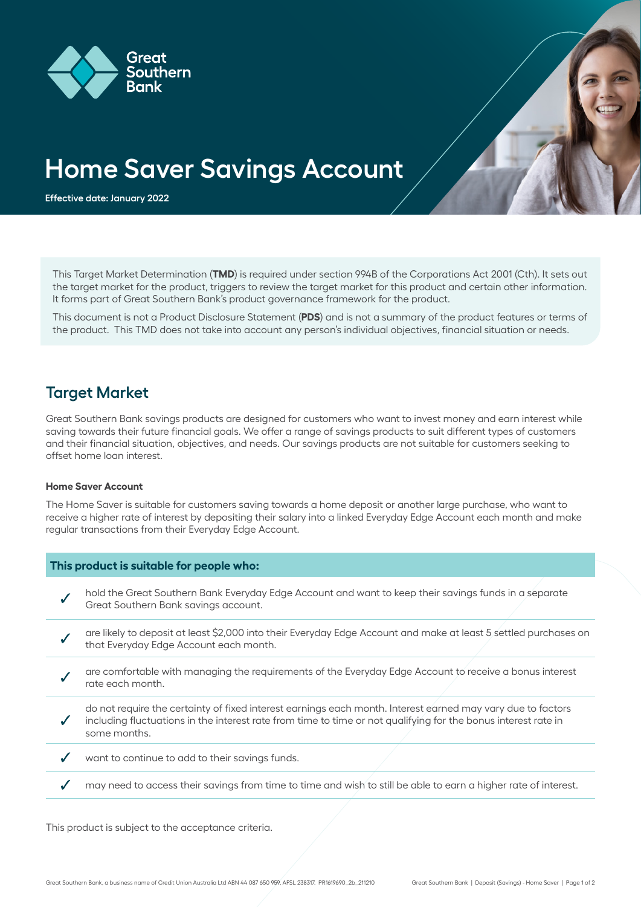

# **Home Saver Savings Account**

**Effective date: January 2022**

This Target Market Determination (**TMD**) is required under section 994B of the Corporations Act 2001 (Cth). It sets out the target market for the product, triggers to review the target market for this product and certain other information. It forms part of Great Southern Bank's product governance framework for the product.

This document is not a Product Disclosure Statement (**PDS**) and is not a summary of the product features or terms of the product. This TMD does not take into account any person's individual objectives, financial situation or needs.

### **Target Market**

Great Southern Bank savings products are designed for customers who want to invest money and earn interest while saving towards their future financial goals. We offer a range of savings products to suit different types of customers and their financial situation, objectives, and needs. Our savings products are not suitable for customers seeking to offset home loan interest.

#### **Home Saver Account**

The Home Saver is suitable for customers saving towards a home deposit or another large purchase, who want to receive a higher rate of interest by depositing their salary into a linked Everyday Edge Account each month and make regular transactions from their Everyday Edge Account.

| This product is suitable for people who: |                                                                                                                                                                                                                                               |
|------------------------------------------|-----------------------------------------------------------------------------------------------------------------------------------------------------------------------------------------------------------------------------------------------|
|                                          | hold the Great Southern Bank Everyday Edge Account and want to keep their savings funds in a separate<br>Great Southern Bank savings account.                                                                                                 |
|                                          | are likely to deposit at least \$2,000 into their Everyday Edge Account and make at least 5 settled purchases on<br>that Everyday Edge Account each month.                                                                                    |
|                                          | are comfortable with managing the requirements of the Everyday Edge Account to receive a bonus interest<br>rate each month.                                                                                                                   |
|                                          | do not require the certainty of fixed interest earnings each month. Interest earned may vary due to factors<br>including fluctuations in the interest rate from time to time or not qualifying for the bonus interest rate in<br>some months. |
|                                          | want to continue to add to their savings funds.                                                                                                                                                                                               |
|                                          | may need to access their savings from time to time and wish to still be able to earn a higher rate of interest.                                                                                                                               |

This product is subject to the acceptance criteria.